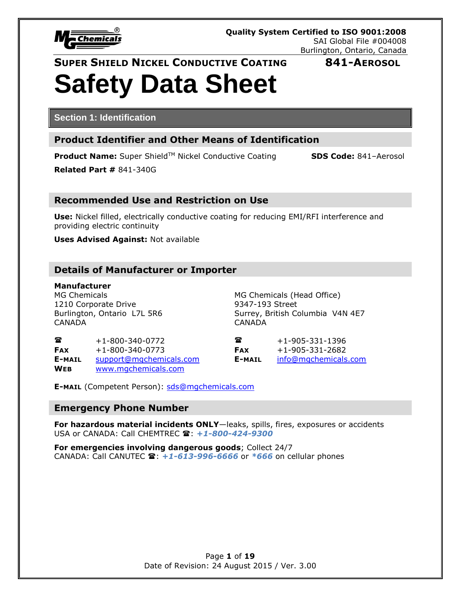

# **Safety Data Sheet**

**Section 1: Identification**

# **Product Identifier and Other Means of Identification**

**Product Name:** Super Shield™ Nickel Conductive Coating **SDS Code:** 841-Aerosol

**Related Part #** 841-340G

### **Recommended Use and Restriction on Use**

**Use:** Nickel filled, electrically conductive coating for reducing EMI/RFI interference and providing electric continuity

**Uses Advised Against:** Not available

### **Details of Manufacturer or Importer**

**Manufacturer** 1210 Corporate Drive **9347-193** Street CANADA CANADA

MG Chemicals MG Chemicals (Head Office) Burlington, Ontario L7L 5R6 Surrey, British Columbia V4N 4E7

| 鴌          | $+1 - 800 - 340 - 0772$ |  |
|------------|-------------------------|--|
| <b>FAX</b> | $+1 - 800 - 340 - 0773$ |  |
| E-MAIL     | support@mgchemicals.com |  |
| <b>WFR</b> | www.mgchemicals.com     |  |

 $\bullet$  +1-905-331-1396  $\textsf{FAX}$  +1-905-331-2682 **E-MAIL** [support@mgchemicals.com](mailto:support@mgchemicals.com) **E-MAIL** [info@mgchemicals.com](mailto:info@mgchemicals.com)

**E-MAIL** (Competent Person): [sds@mgchemicals.com](mailto:sds@mgchemicals.com)

### **Emergency Phone Number**

**For hazardous material incidents ONLY**—leaks, spills, fires, exposures or accidents USA or CANADA: Call CHEMTREC **雷: +1-800-424-9300** 

**For emergencies involving dangerous goods**; Collect 24/7 CANADA: Call CANUTEC **雪: +1-613-996-6666** or *\*666* on cellular phones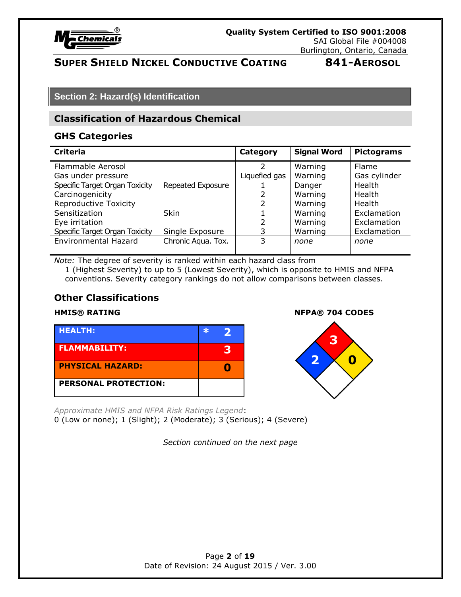

# **Section 2: Hazard(s) Identification**

### **Classification of Hazardous Chemical**

### **GHS Categories**

| <b>Criteria</b>                |                    | Category      | <b>Signal Word</b> | <b>Pictograms</b> |
|--------------------------------|--------------------|---------------|--------------------|-------------------|
| Flammable Aerosol              |                    | フ             | Warning            | Flame             |
| Gas under pressure             |                    | Liquefied gas | Warning            | Gas cylinder      |
| Specific Target Organ Toxicity | Repeated Exposure  |               | Danger             | Health            |
| Carcinogenicity                |                    |               | Warning            | Health            |
| <b>Reproductive Toxicity</b>   |                    | 2             | Warning            | Health            |
| Sensitization                  | <b>Skin</b>        |               | Warning            | Exclamation       |
| Eye irritation                 |                    | $\mathcal{P}$ | Warning            | Exclamation       |
| Specific Target Organ Toxicity | Single Exposure    | 3             | Warning            | Exclamation       |
| <b>Environmental Hazard</b>    | Chronic Aqua. Tox. | 3             | none               | none              |
|                                |                    |               |                    |                   |

*Note:* The degree of severity is ranked within each hazard class from 1 (Highest Severity) to up to 5 (Lowest Severity), which is opposite to HMIS and NFPA conventions. Severity category rankings do not allow comparisons between classes.

### **Other Classifications**

| <b>HEALTH:</b>              | ŀЖ |   |
|-----------------------------|----|---|
| <b>FLAMMABILITY:</b>        |    | 3 |
| <b>PHYSICAL HAZARD:</b>     |    |   |
| <b>PERSONAL PROTECTION:</b> |    |   |

**HMIS® RATING NFPA® 704 CODES**



*Approximate HMIS and NFPA Risk Ratings Legend*: 0 (Low or none); 1 (Slight); 2 (Moderate); 3 (Serious); 4 (Severe)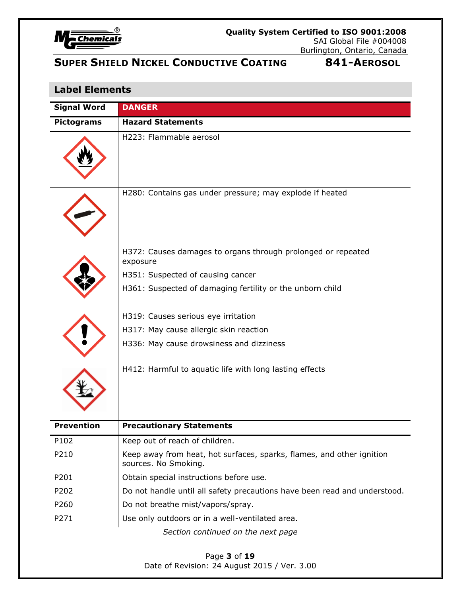

# **Label Elements**

| <b>Signal Word</b> | <b>DANGER</b>                                                                                 |
|--------------------|-----------------------------------------------------------------------------------------------|
| <b>Pictograms</b>  | <b>Hazard Statements</b>                                                                      |
|                    | H223: Flammable aerosol                                                                       |
|                    | H280: Contains gas under pressure; may explode if heated                                      |
|                    | H372: Causes damages to organs through prolonged or repeated<br>exposure                      |
|                    | H351: Suspected of causing cancer                                                             |
|                    | H361: Suspected of damaging fertility or the unborn child                                     |
|                    | H319: Causes serious eye irritation                                                           |
|                    | H317: May cause allergic skin reaction                                                        |
|                    | H336: May cause drowsiness and dizziness                                                      |
|                    | H412: Harmful to aquatic life with long lasting effects                                       |
| <b>Prevention</b>  | <b>Precautionary Statements</b>                                                               |
| P102               | Keep out of reach of children.                                                                |
| P210               | Keep away from heat, hot surfaces, sparks, flames, and other ignition<br>sources. No Smoking. |
| P201               | Obtain special instructions before use.                                                       |
| P202               | Do not handle until all safety precautions have been read and understood.                     |
| P260               | Do not breathe mist/vapors/spray.                                                             |
| P271               | Use only outdoors or in a well-ventilated area.                                               |
|                    | Section continued on the next page                                                            |
|                    | Page 3 of 19                                                                                  |

Date of Revision: 24 August 2015 / Ver. 3.00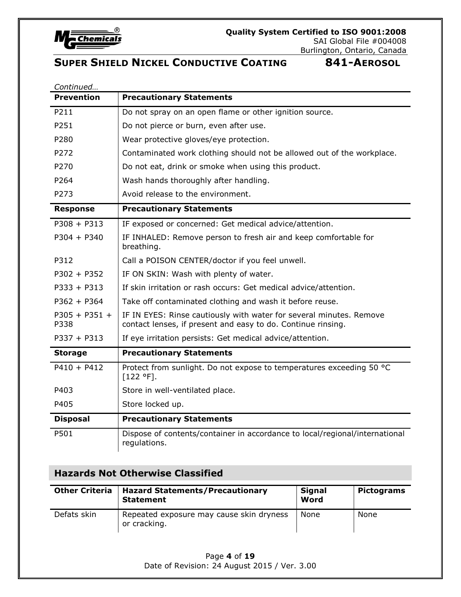

| Continued               |                                                                                                                                     |
|-------------------------|-------------------------------------------------------------------------------------------------------------------------------------|
| <b>Prevention</b>       | <b>Precautionary Statements</b>                                                                                                     |
| P211                    | Do not spray on an open flame or other ignition source.                                                                             |
| P251                    | Do not pierce or burn, even after use.                                                                                              |
| P280                    | Wear protective gloves/eye protection.                                                                                              |
| P272                    | Contaminated work clothing should not be allowed out of the workplace.                                                              |
| P270                    | Do not eat, drink or smoke when using this product.                                                                                 |
| P264                    | Wash hands thoroughly after handling.                                                                                               |
| P273                    | Avoid release to the environment.                                                                                                   |
| <b>Response</b>         | <b>Precautionary Statements</b>                                                                                                     |
| $P308 + P313$           | IF exposed or concerned: Get medical advice/attention.                                                                              |
| $P304 + P340$           | IF INHALED: Remove person to fresh air and keep comfortable for<br>breathing.                                                       |
| P312                    | Call a POISON CENTER/doctor if you feel unwell.                                                                                     |
| $P302 + P352$           | IF ON SKIN: Wash with plenty of water.                                                                                              |
| $P333 + P313$           | If skin irritation or rash occurs: Get medical advice/attention.                                                                    |
| $P362 + P364$           | Take off contaminated clothing and wash it before reuse.                                                                            |
| $P305 + P351 +$<br>P338 | IF IN EYES: Rinse cautiously with water for several minutes. Remove<br>contact lenses, if present and easy to do. Continue rinsing. |
| $P337 + P313$           | If eye irritation persists: Get medical advice/attention.                                                                           |
| <b>Storage</b>          | <b>Precautionary Statements</b>                                                                                                     |
| $P410 + P412$           | Protect from sunlight. Do not expose to temperatures exceeding 50 °C<br>$[122 °F]$ .                                                |
| P403                    | Store in well-ventilated place.                                                                                                     |
| P405                    | Store locked up.                                                                                                                    |
| <b>Disposal</b>         | <b>Precautionary Statements</b>                                                                                                     |
| P501                    | Dispose of contents/container in accordance to local/regional/international<br>regulations.                                         |

# **Hazards Not Otherwise Classified**

| <b>Other Criteria</b> | <b>Hazard Statements/Precautionary</b><br><b>Statement</b> | <b>Signal</b><br>Word | <b>Pictograms</b> |
|-----------------------|------------------------------------------------------------|-----------------------|-------------------|
| Defats skin           | Repeated exposure may cause skin dryness<br>or cracking.   | None                  | None              |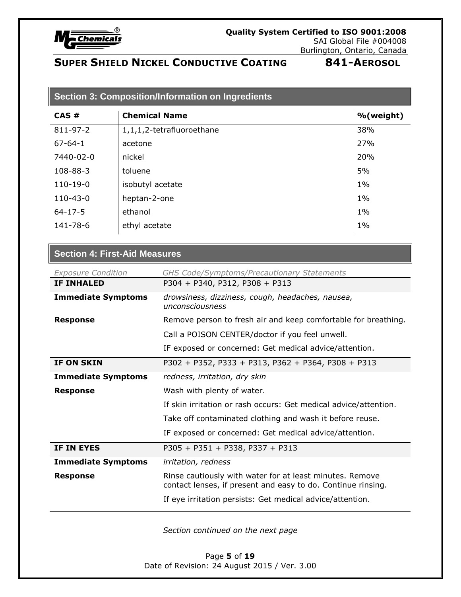

| <b>Section 3: Composition/Information on Ingredients</b> |                           |           |
|----------------------------------------------------------|---------------------------|-----------|
| CAS#                                                     | <b>Chemical Name</b>      | %(weight) |
| 811-97-2                                                 | 1,1,1,2-tetrafluoroethane | 38%       |
| $67 - 64 - 1$                                            | acetone                   | 27%       |
| 7440-02-0                                                | nickel                    | 20%       |
| 108-88-3                                                 | toluene                   | 5%        |
| $110-19-0$                                               | isobutyl acetate          | $1\%$     |
| $110 - 43 - 0$                                           | heptan-2-one              | $1\%$     |
| $64 - 17 - 5$                                            | ethanol                   | $1\%$     |
| 141-78-6                                                 | ethyl acetate             | $1\%$     |
|                                                          |                           |           |

### **Section 4: First-Aid Measures**

| <b>Exposure Condition</b> | <b>GHS Code/Symptoms/Precautionary Statements</b>                                                                        |
|---------------------------|--------------------------------------------------------------------------------------------------------------------------|
| <b>IF INHALED</b>         | P304 + P340, P312, P308 + P313                                                                                           |
| <b>Immediate Symptoms</b> | drowsiness, dizziness, cough, headaches, nausea,<br>unconsciousness                                                      |
| <b>Response</b>           | Remove person to fresh air and keep comfortable for breathing.                                                           |
|                           | Call a POISON CENTER/doctor if you feel unwell.                                                                          |
|                           | IF exposed or concerned: Get medical advice/attention.                                                                   |
| <b>IF ON SKIN</b>         | P302 + P352, P333 + P313, P362 + P364, P308 + P313                                                                       |
| <b>Immediate Symptoms</b> | redness, irritation, dry skin                                                                                            |
| <b>Response</b>           | Wash with plenty of water.                                                                                               |
|                           | If skin irritation or rash occurs: Get medical advice/attention.                                                         |
|                           | Take off contaminated clothing and wash it before reuse.                                                                 |
|                           | IF exposed or concerned: Get medical advice/attention.                                                                   |
| IF IN EYES                | P305 + P351 + P338, P337 + P313                                                                                          |
| <b>Immediate Symptoms</b> | irritation, redness                                                                                                      |
| <b>Response</b>           | Rinse cautiously with water for at least minutes. Remove<br>contact lenses, if present and easy to do. Continue rinsing. |
|                           | If eye irritation persists: Get medical advice/attention.                                                                |
|                           | Section continued on the next page                                                                                       |

Page **5** of **19** Date of Revision: 24 August 2015 / Ver. 3.00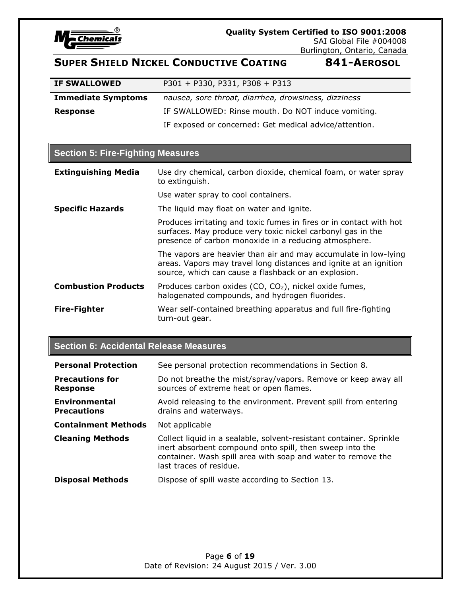

SAI Global File #004008 Burlington, Ontario, Canada

# **SUPER SHIELD NICKEL CONDUCTIVE COATING 841-AEROSOL**

| <b>IF SWALLOWED</b>       | $P301 + P330, P331, P308 + P313$                       |
|---------------------------|--------------------------------------------------------|
| <b>Immediate Symptoms</b> | nausea, sore throat, diarrhea, drowsiness, dizziness   |
| Response                  | IF SWALLOWED: Rinse mouth. Do NOT induce vomiting.     |
|                           | IF exposed or concerned: Get medical advice/attention. |

### **Section 5: Fire-Fighting Measures**

| <b>Extinguishing Media</b> | Use dry chemical, carbon dioxide, chemical foam, or water spray<br>to extinguish.                                                                                                            |
|----------------------------|----------------------------------------------------------------------------------------------------------------------------------------------------------------------------------------------|
|                            | Use water spray to cool containers.                                                                                                                                                          |
| <b>Specific Hazards</b>    | The liquid may float on water and ignite.                                                                                                                                                    |
|                            | Produces irritating and toxic fumes in fires or in contact with hot<br>surfaces. May produce very toxic nickel carbonyl gas in the<br>presence of carbon monoxide in a reducing atmosphere.  |
|                            | The vapors are heavier than air and may accumulate in low-lying<br>areas. Vapors may travel long distances and ignite at an ignition<br>source, which can cause a flashback or an explosion. |
| <b>Combustion Products</b> | Produces carbon oxides (CO, CO <sub>2</sub> ), nickel oxide fumes,<br>halogenated compounds, and hydrogen fluorides.                                                                         |
| <b>Fire-Fighter</b>        | Wear self-contained breathing apparatus and full fire-fighting<br>turn-out gear.                                                                                                             |

#### **Section 6: Accidental Release Measures**

| <b>Personal Protection</b>                 | See personal protection recommendations in Section 8.                                                                                                                                                                      |
|--------------------------------------------|----------------------------------------------------------------------------------------------------------------------------------------------------------------------------------------------------------------------------|
| <b>Precautions for</b><br><b>Response</b>  | Do not breathe the mist/spray/vapors. Remove or keep away all<br>sources of extreme heat or open flames.                                                                                                                   |
| <b>Environmental</b><br><b>Precautions</b> | Avoid releasing to the environment. Prevent spill from entering<br>drains and waterways.                                                                                                                                   |
| <b>Containment Methods</b>                 | Not applicable                                                                                                                                                                                                             |
| <b>Cleaning Methods</b>                    | Collect liquid in a sealable, solvent-resistant container. Sprinkle<br>inert absorbent compound onto spill, then sweep into the<br>container. Wash spill area with soap and water to remove the<br>last traces of residue. |
| <b>Disposal Methods</b>                    | Dispose of spill waste according to Section 13.                                                                                                                                                                            |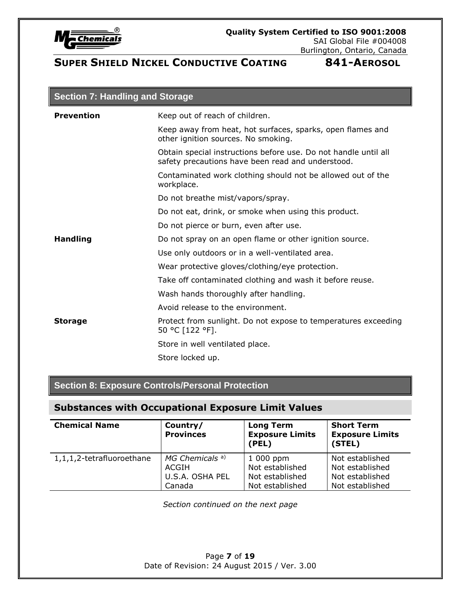

| <b>Section 7: Handling and Storage</b> |                                                                                                                      |  |
|----------------------------------------|----------------------------------------------------------------------------------------------------------------------|--|
| <b>Prevention</b>                      | Keep out of reach of children.                                                                                       |  |
|                                        | Keep away from heat, hot surfaces, sparks, open flames and<br>other ignition sources. No smoking.                    |  |
|                                        | Obtain special instructions before use. Do not handle until all<br>safety precautions have been read and understood. |  |
|                                        | Contaminated work clothing should not be allowed out of the<br>workplace.                                            |  |
|                                        | Do not breathe mist/vapors/spray.                                                                                    |  |
|                                        | Do not eat, drink, or smoke when using this product.                                                                 |  |
|                                        |                                                                                                                      |  |

Do not pierce or burn, even after use.

**Handling Do not spray on an open flame or other ignition source.** 

Use only outdoors or in a well-ventilated area.

Wear protective gloves/clothing/eye protection.

Take off contaminated clothing and wash it before reuse.

Wash hands thoroughly after handling.

Avoid release to the environment.

**Storage** Protect from sunlight. Do not expose to temperatures exceeding 50 °C [122 °F].

Store in well ventilated place.

Store locked up.

### **Section 8: Exposure Controls/Personal Protection**

### **Substances with Occupational Exposure Limit Values**

| <b>Chemical Name</b>      | Country/<br><b>Provinces</b> | <b>Long Term</b><br><b>Exposure Limits</b><br>(PEL) | <b>Short Term</b><br><b>Exposure Limits</b><br>(STEL) |
|---------------------------|------------------------------|-----------------------------------------------------|-------------------------------------------------------|
| 1,1,1,2-tetrafluoroethane | MG Chemicals <sup>a)</sup>   | $1000$ ppm                                          | Not established                                       |
|                           | ACGIH                        | Not established                                     | Not established                                       |
|                           | U.S.A. OSHA PEL              | Not established                                     | Not established                                       |
|                           | Canada                       | Not established                                     | Not established                                       |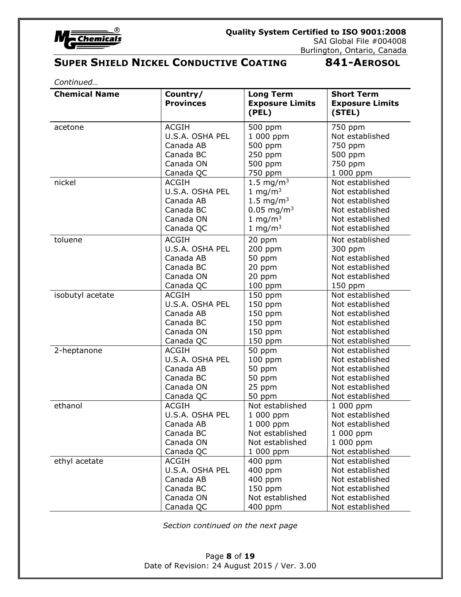

*Continued…*

| <b>Chemical Name</b> | Country/<br><b>Provinces</b> | <b>Long Term</b><br><b>Exposure Limits</b><br>(PEL) | <b>Short Term</b><br><b>Exposure Limits</b><br>(STEL) |
|----------------------|------------------------------|-----------------------------------------------------|-------------------------------------------------------|
| acetone              | <b>ACGIH</b>                 | 500 ppm                                             | 750 ppm                                               |
|                      | U.S.A. OSHA PEL              | 1 000 ppm                                           | Not established                                       |
|                      | Canada AB                    | 500 ppm                                             | 750 ppm                                               |
|                      | Canada BC                    | 250 ppm                                             | 500 ppm                                               |
|                      | Canada ON                    | 500 ppm                                             | 750 ppm                                               |
|                      | Canada QC                    | 750 ppm                                             | 1 000 ppm                                             |
| nickel               | <b>ACGIH</b>                 | 1.5 mg/m <sup>3</sup>                               | Not established                                       |
|                      | U.S.A. OSHA PEL              | 1 mg/m $3$                                          | Not established                                       |
|                      | Canada AB                    | 1.5 mg/m <sup>3</sup>                               | Not established                                       |
|                      | Canada BC                    | $0.05$ mg/m <sup>3</sup>                            | Not established                                       |
|                      | Canada ON                    | 1 mg/m $3$                                          | Not established                                       |
|                      | Canada QC                    | 1 mg/m $3$                                          | Not established                                       |
| toluene              | <b>ACGIH</b>                 | 20 ppm                                              | Not established                                       |
|                      | U.S.A. OSHA PEL              | 200 ppm                                             | 300 ppm                                               |
|                      | Canada AB                    | 50 ppm                                              | Not established                                       |
|                      | Canada BC                    | 20 ppm                                              | Not established                                       |
|                      | Canada ON                    | 20 ppm                                              | Not established                                       |
|                      | Canada QC                    | 100 ppm                                             | $150$ ppm                                             |
| isobutyl acetate     | <b>ACGIH</b>                 | 150 ppm                                             | Not established                                       |
|                      | U.S.A. OSHA PEL              | 150 ppm                                             | Not established                                       |
|                      | Canada AB                    | 150 ppm                                             | Not established                                       |
|                      | Canada BC                    | 150 ppm                                             | Not established                                       |
|                      | Canada ON                    | 150 ppm                                             | Not established                                       |
|                      | Canada QC                    | 150 ppm                                             | Not established                                       |
| 2-heptanone          | <b>ACGIH</b>                 | 50 ppm                                              | Not established                                       |
|                      | U.S.A. OSHA PEL              | 100 ppm                                             | Not established                                       |
|                      | Canada AB                    | 50 ppm                                              | Not established                                       |
|                      | Canada BC                    | 50 ppm                                              | Not established                                       |
|                      | Canada ON                    | 25 ppm                                              | Not established                                       |
|                      | Canada QC                    | 50 ppm                                              | Not established                                       |
| ethanol              | <b>ACGIH</b>                 | Not established                                     | 1 000 ppm                                             |
|                      | U.S.A. OSHA PEL              | 1 000 ppm                                           | Not established                                       |
|                      | Canada AB                    | 1 000 ppm                                           | Not established                                       |
|                      | Canada BC                    | Not established                                     | 1 000 ppm                                             |
|                      | Canada ON                    | Not established                                     | 1 000 ppm                                             |
|                      | Canada QC                    | 1 000 ppm                                           | Not established                                       |
| ethyl acetate        | <b>ACGIH</b>                 | 400 ppm                                             | Not established                                       |
|                      | U.S.A. OSHA PEL              | 400 ppm                                             | Not established                                       |
|                      | Canada AB                    | 400 ppm                                             | Not established                                       |
|                      | Canada BC                    | 150 ppm                                             | Not established                                       |
|                      | Canada ON                    | Not established                                     | Not established                                       |
|                      | Canada QC                    | 400 ppm                                             | Not established                                       |

*Section continued on the next page*

Page **8** of **19** Date of Revision: 24 August 2015 / Ver. 3.00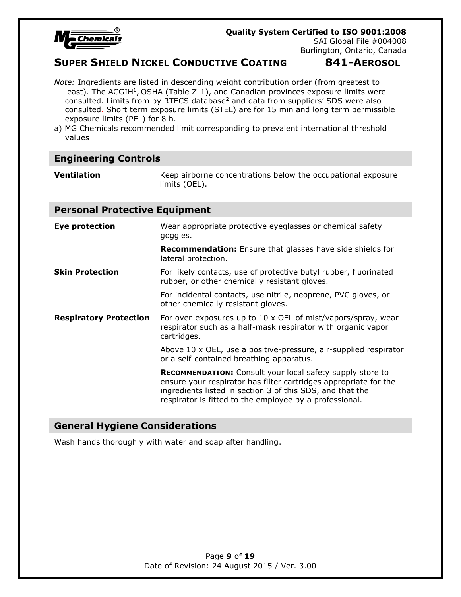

Burlington, Ontario, Canada

# **SUPER SHIELD NICKEL CONDUCTIVE COATING 841-AEROSOL**

*Note:* Ingredients are listed in descending weight contribution order (from greatest to least). The ACGIH<sup>1</sup>, OSHA (Table Z-1), and Canadian provinces exposure limits were consulted. Limits from by RTECS database<sup>2</sup> and data from suppliers' SDS were also consulted. Short term exposure limits (STEL) are for 15 min and long term permissible exposure limits (PEL) for 8 h.

a) MG Chemicals recommended limit corresponding to prevalent international threshold values

# **Engineering Controls**

**Ventilation** Keep airborne concentrations below the occupational exposure limits (OEL).

#### **Personal Protective Equipment**

| Eye protection                | Wear appropriate protective eyeglasses or chemical safety<br>goggles.                                                                                                                                                                                        |  |
|-------------------------------|--------------------------------------------------------------------------------------------------------------------------------------------------------------------------------------------------------------------------------------------------------------|--|
|                               | <b>Recommendation:</b> Ensure that glasses have side shields for<br>lateral protection.                                                                                                                                                                      |  |
| <b>Skin Protection</b>        | For likely contacts, use of protective butyl rubber, fluorinated<br>rubber, or other chemically resistant gloves.                                                                                                                                            |  |
|                               | For incidental contacts, use nitrile, neoprene, PVC gloves, or<br>other chemically resistant gloves.                                                                                                                                                         |  |
| <b>Respiratory Protection</b> | For over-exposures up to 10 x OEL of mist/vapors/spray, wear<br>respirator such as a half-mask respirator with organic vapor<br>cartridges.                                                                                                                  |  |
|                               | Above 10 x OEL, use a positive-pressure, air-supplied respirator<br>or a self-contained breathing apparatus.                                                                                                                                                 |  |
|                               | <b>RECOMMENDATION:</b> Consult your local safety supply store to<br>ensure your respirator has filter cartridges appropriate for the<br>ingredients listed in section 3 of this SDS, and that the<br>respirator is fitted to the employee by a professional. |  |

### **General Hygiene Considerations**

Wash hands thoroughly with water and soap after handling.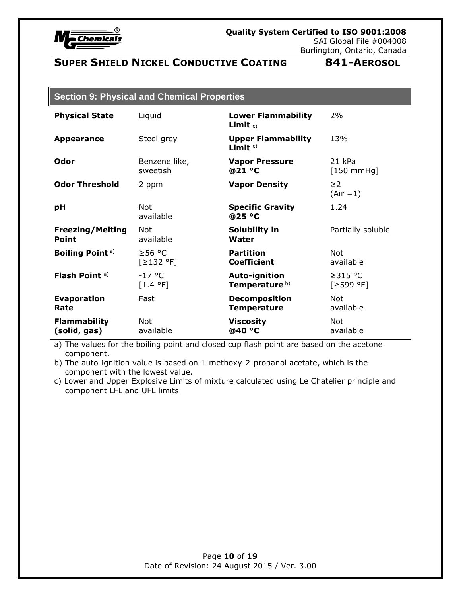

| <b>Section 9: Physical and Chemical Properties</b> |  |  |
|----------------------------------------------------|--|--|
|----------------------------------------------------|--|--|

| <b>Physical State</b>     | Liquid            | <b>Lower Flammability</b><br>Limit $c$ )   | 2%                      |
|---------------------------|-------------------|--------------------------------------------|-------------------------|
| <b>Appearance</b>         | Steel grey        | <b>Upper Flammability</b><br>Limit $\circ$ | 13%                     |
| Odor                      | Benzene like,     | <b>Vapor Pressure</b>                      | 21 kPa                  |
|                           | sweetish          | @21 °C                                     | $[150 \text{ mmHg}]$    |
| <b>Odor Threshold</b>     | 2 ppm             | <b>Vapor Density</b>                       | $\geq$ 2<br>$(Air = 1)$ |
| pH                        | Not.<br>available | <b>Specific Gravity</b><br>@25 °C          | 1.24                    |
| <b>Freezing/Melting</b>   | Not               | Solubility in                              | Partially soluble       |
| Point                     | available         | Water                                      |                         |
| <b>Boiling Point a)</b>   | ≥56 °C            | <b>Partition</b>                           | Not                     |
|                           | [≥132 °F]         | <b>Coefficient</b>                         | available               |
| Flash Point <sup>a)</sup> | $-17$ °C          | Auto-ignition                              | $\geq$ 315 °C           |
|                           | [1.4 °F]          | Temperature <sup>b)</sup>                  | [≥599 °F]               |
| <b>Evaporation</b>        | Fast              | <b>Decomposition</b>                       | Not                     |
| Rate                      |                   | <b>Temperature</b>                         | available               |
| <b>Flammability</b>       | <b>Not</b>        | <b>Viscosity</b>                           | Not                     |
| (solid, gas)              | available         | @40 °C                                     | available               |

a) The values for the boiling point and closed cup flash point are based on the acetone component.

b) The auto-ignition value is based on 1-methoxy-2-propanol acetate, which is the component with the lowest value.

c) Lower and Upper Explosive Limits of mixture calculated using Le Chatelier principle and component LFL and UFL limits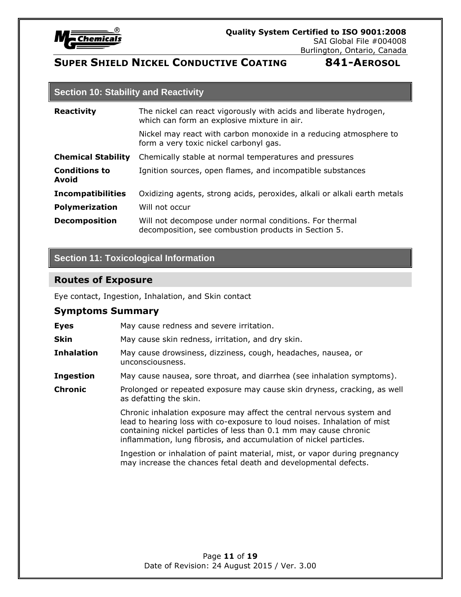

### **Section 10: Stability and Reactivity**

| <b>Reactivity</b>             | The nickel can react vigorously with acids and liberate hydrogen,<br>which can form an explosive mixture in air. |  |
|-------------------------------|------------------------------------------------------------------------------------------------------------------|--|
|                               | Nickel may react with carbon monoxide in a reducing atmosphere to<br>form a very toxic nickel carbonyl gas.      |  |
| <b>Chemical Stability</b>     | Chemically stable at normal temperatures and pressures                                                           |  |
| <b>Conditions to</b><br>Avoid | Ignition sources, open flames, and incompatible substances                                                       |  |
| <b>Incompatibilities</b>      | Oxidizing agents, strong acids, peroxides, alkali or alkali earth metals                                         |  |
| <b>Polymerization</b>         | Will not occur                                                                                                   |  |
| <b>Decomposition</b>          | Will not decompose under normal conditions. For thermal<br>decomposition, see combustion products in Section 5.  |  |

# **Section 11: Toxicological Information**

### **Routes of Exposure**

Eye contact, Ingestion, Inhalation, and Skin contact

#### **Symptoms Summary**

| <b>Eyes</b>       | May cause redness and severe irritation.                                                                                                                                                                                                                                                     |
|-------------------|----------------------------------------------------------------------------------------------------------------------------------------------------------------------------------------------------------------------------------------------------------------------------------------------|
| <b>Skin</b>       | May cause skin redness, irritation, and dry skin.                                                                                                                                                                                                                                            |
| <b>Inhalation</b> | May cause drowsiness, dizziness, cough, headaches, nausea, or<br>unconsciousness.                                                                                                                                                                                                            |
| <b>Ingestion</b>  | May cause nausea, sore throat, and diarrhea (see inhalation symptoms).                                                                                                                                                                                                                       |
| <b>Chronic</b>    | Prolonged or repeated exposure may cause skin dryness, cracking, as well<br>as defatting the skin.                                                                                                                                                                                           |
|                   | Chronic inhalation exposure may affect the central nervous system and<br>lead to hearing loss with co-exposure to loud noises. Inhalation of mist<br>containing nickel particles of less than 0.1 mm may cause chronic<br>inflammation, lung fibrosis, and accumulation of nickel particles. |
|                   | Ingestion or inhalation of paint material, mist, or vapor during pregnancy<br>may increase the chances fetal death and developmental defects.                                                                                                                                                |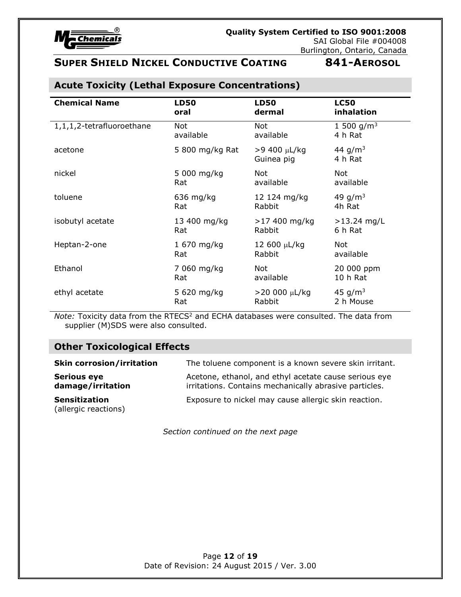

| <b>Chemical Name</b>      | <b>LD50</b>     | <b>LD50</b>                | <b>LC50</b>           |
|---------------------------|-----------------|----------------------------|-----------------------|
|                           | oral            | dermal                     | inhalation            |
| 1,1,1,2-tetrafluoroethane | Not             | Not                        | 1 500 $q/m^3$         |
|                           | available       | available                  | 4 h Rat               |
| acetone                   | 5 800 mg/kg Rat | >9 400 µL/kg<br>Guinea pig | 44 $q/m^3$<br>4 h Rat |
| nickel                    | 5 000 mg/kg     | Not                        | <b>Not</b>            |
|                           | Rat             | available                  | available             |
| toluene                   | $636$ mg/kg     | 12 124 mg/kg               | 49 $g/m^3$            |
|                           | Rat             | Rabbit                     | 4h Rat                |
| isobutyl acetate          | 13 400 mg/kg    | $>17$ 400 mg/kg            | $>13.24$ mg/L         |
|                           | Rat             | Rabbit                     | 6 h Rat               |
| Heptan-2-one              | 1 670 mg/kg     | 12 600 µL/kg               | Not                   |
|                           | Rat             | Rabbit                     | available             |
| Ethanol                   | 7 060 mg/kg     | Not                        | 20 000 ppm            |
|                           | Rat             | available                  | 10 h Rat              |
| ethyl acetate             | 5 620 mg/kg     | $>$ 20 000 µL/kg           | 45 $g/m^3$            |
|                           | Rat             | Rabbit                     | 2 h Mouse             |

# **Acute Toxicity (Lethal Exposure Concentrations)**

*Note:* Toxicity data from the RTECS<sup>2</sup> and ECHA databases were consulted. The data from supplier (M)SDS were also consulted.

# **Other Toxicological Effects**

| <b>Skin corrosion/irritation</b>             | The toluene component is a known severe skin irritant.                                                          |
|----------------------------------------------|-----------------------------------------------------------------------------------------------------------------|
| <b>Serious eye</b><br>damage/irritation      | Acetone, ethanol, and ethyl acetate cause serious eye<br>irritations. Contains mechanically abrasive particles. |
| <b>Sensitization</b><br>(allergic reactions) | Exposure to nickel may cause allergic skin reaction.                                                            |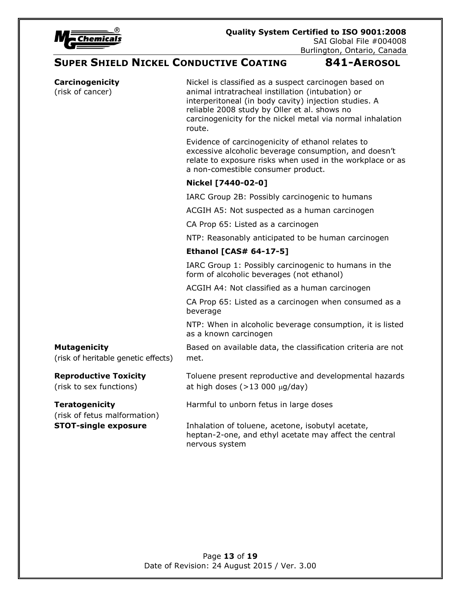

Burlington, Ontario, Canada

# **SUPER SHIELD NICKEL CONDUCTIVE COATING 841-AEROSOL**

| Carcinogenicity<br>(risk of cancer)                        | Nickel is classified as a suspect carcinogen based on<br>animal intratracheal instillation (intubation) or<br>interperitoneal (in body cavity) injection studies. A<br>reliable 2008 study by Oller et al. shows no<br>carcinogenicity for the nickel metal via normal inhalation<br>route. |
|------------------------------------------------------------|---------------------------------------------------------------------------------------------------------------------------------------------------------------------------------------------------------------------------------------------------------------------------------------------|
|                                                            | Evidence of carcinogenicity of ethanol relates to<br>excessive alcoholic beverage consumption, and doesn't<br>relate to exposure risks when used in the workplace or as<br>a non-comestible consumer product.                                                                               |
|                                                            | Nickel [7440-02-0]                                                                                                                                                                                                                                                                          |
|                                                            | IARC Group 2B: Possibly carcinogenic to humans                                                                                                                                                                                                                                              |
|                                                            | ACGIH A5: Not suspected as a human carcinogen                                                                                                                                                                                                                                               |
|                                                            | CA Prop 65: Listed as a carcinogen                                                                                                                                                                                                                                                          |
|                                                            | NTP: Reasonably anticipated to be human carcinogen                                                                                                                                                                                                                                          |
|                                                            | <b>Ethanol [CAS# 64-17-5]</b>                                                                                                                                                                                                                                                               |
|                                                            | IARC Group 1: Possibly carcinogenic to humans in the<br>form of alcoholic beverages (not ethanol)                                                                                                                                                                                           |
|                                                            | ACGIH A4: Not classified as a human carcinogen                                                                                                                                                                                                                                              |
|                                                            | CA Prop 65: Listed as a carcinogen when consumed as a<br>beverage                                                                                                                                                                                                                           |
|                                                            | NTP: When in alcoholic beverage consumption, it is listed<br>as a known carcinogen                                                                                                                                                                                                          |
| <b>Mutagenicity</b><br>(risk of heritable genetic effects) | Based on available data, the classification criteria are not<br>met.                                                                                                                                                                                                                        |
| <b>Reproductive Toxicity</b><br>(risk to sex functions)    | Toluene present reproductive and developmental hazards<br>at high doses $(>13 000 \mu g/day)$                                                                                                                                                                                               |
| <b>Teratogenicity</b><br>(risk of fetus malformation)      | Harmful to unborn fetus in large doses                                                                                                                                                                                                                                                      |
| <b>STOT-single exposure</b>                                | Inhalation of toluene, acetone, isobutyl acetate,<br>heptan-2-one, and ethyl acetate may affect the central<br>nervous system                                                                                                                                                               |
|                                                            |                                                                                                                                                                                                                                                                                             |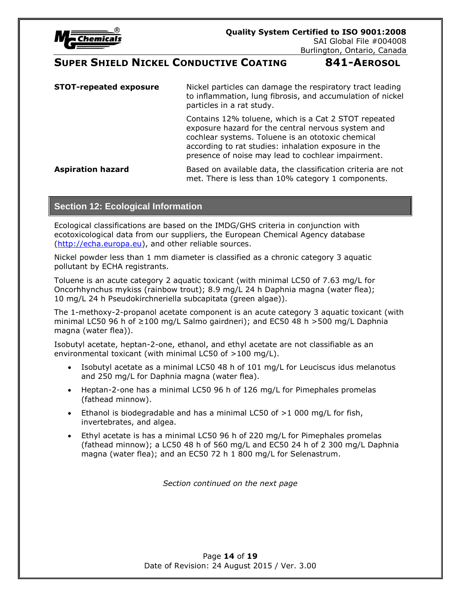

| <b>STOT-repeated exposure</b> | Nickel particles can damage the respiratory tract leading<br>to inflammation, lung fibrosis, and accumulation of nickel<br>particles in a rat study.                                                                                                                          |  |
|-------------------------------|-------------------------------------------------------------------------------------------------------------------------------------------------------------------------------------------------------------------------------------------------------------------------------|--|
|                               | Contains 12% toluene, which is a Cat 2 STOT repeated<br>exposure hazard for the central nervous system and<br>cochlear systems. Toluene is an ototoxic chemical<br>according to rat studies: inhalation exposure in the<br>presence of noise may lead to cochlear impairment. |  |
| <b>Aspiration hazard</b>      | Based on available data, the classification criteria are not<br>met. There is less than 10% category 1 components.                                                                                                                                                            |  |

### **Section 12: Ecological Information**

Ecological classifications are based on the IMDG/GHS criteria in conjunction with ecotoxicological data from our suppliers, the European Chemical Agency database [\(http://echa.europa.eu\)](http://echa.europa.eu/), and other reliable sources.

Nickel powder less than 1 mm diameter is classified as a chronic category 3 aquatic pollutant by ECHA registrants.

Toluene is an acute category 2 aquatic toxicant (with minimal LC50 of 7.63 mg/L for Oncorhhynchus mykiss (rainbow trout); 8.9 mg/L 24 h Daphnia magna (water flea); 10 mg/L 24 h Pseudokirchneriella subcapitata (green algae)).

The 1-methoxy-2-propanol acetate component is an acute category 3 aquatic toxicant (with minimal LC50 96 h of ≥100 mg/L Salmo gairdneri); and EC50 48 h >500 mg/L Daphnia magna (water flea)).

Isobutyl acetate, heptan-2-one, ethanol, and ethyl acetate are not classifiable as an environmental toxicant (with minimal LC50 of >100 mg/L).

- Isobutyl acetate as a minimal LC50 48 h of 101 mg/L for Leuciscus idus melanotus and 250 mg/L for Daphnia magna (water flea).
- Heptan-2-one has a minimal LC50 96 h of 126 mg/L for Pimephales promelas (fathead minnow).
- Ethanol is biodegradable and has a minimal LC50 of  $>1$  000 mg/L for fish, invertebrates, and algea.
- Ethyl acetate is has a minimal LC50 96 h of 220 mg/L for Pimephales promelas (fathead minnow); a LC50 48 h of 560 mg/L and EC50 24 h of 2 300 mg/L Daphnia magna (water flea); and an EC50 72 h 1 800 mg/L for Selenastrum.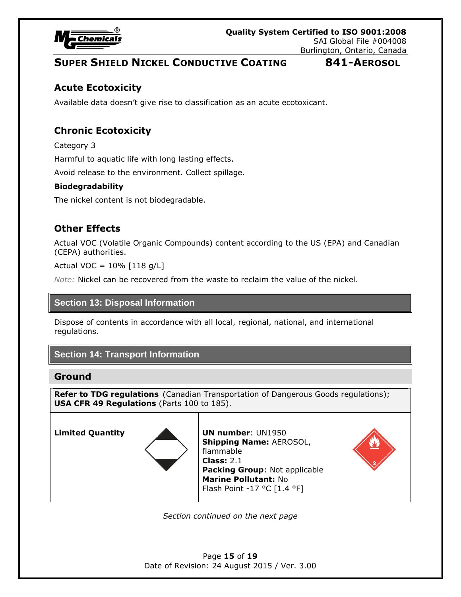

# **Acute Ecotoxicity**

Available data doesn't give rise to classification as an acute ecotoxicant.

# **Chronic Ecotoxicity**

Category 3

Harmful to aquatic life with long lasting effects.

Avoid release to the environment. Collect spillage.

#### **Biodegradability**

The nickel content is not biodegradable.

### **Other Effects**

Actual VOC (Volatile Organic Compounds) content according to the US (EPA) and Canadian (CEPA) authorities.

Actual VOC =  $10\%$  [118 g/L]

*Note:* Nickel can be recovered from the waste to reclaim the value of the nickel.

#### **Section 13: Disposal Information**

Dispose of contents in accordance with all local, regional, national, and international regulations.

### **Section 14: Transport Information**

#### **Ground**

**Refer to TDG regulations** (Canadian Transportation of Dangerous Goods regulations); **USA CFR 49 Regulations** (Parts 100 to 185).



**Limited Quantity UN number**: UN1950 **Shipping Name:** AEROSOL, flammable **Class:** 2.1 **Packing Group**: Not applicable **Marine Pollutant:** No Flash Point -17 °C [1.4 °F]



*Section continued on the next page*

Page **15** of **19** Date of Revision: 24 August 2015 / Ver. 3.00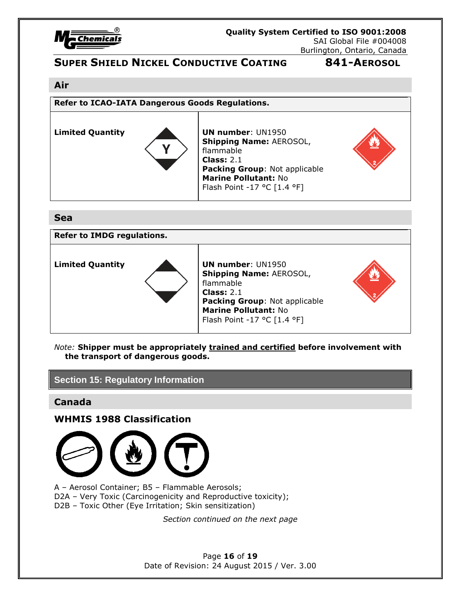

#### **Air**

**Refer to ICAO-IATA Dangerous Goods Regulations.**



**Limited Quantity UN number**: UN1950 **Shipping Name:** AEROSOL, flammable **Class:** 2.1 **Packing Group**: Not applicable **Marine Pollutant:** No Flash Point -17 °C [1.4 °F]



### **Sea**



*Note:* **Shipper must be appropriately trained and certified before involvement with the transport of dangerous goods.**

### **Section 15: Regulatory Information**

### **Canada**

**WHMIS 1988 Classification**



A – Aerosol Container; B5 – Flammable Aerosols; D2A - Very Toxic (Carcinogenicity and Reproductive toxicity); D2B – Toxic Other (Eye Irritation; Skin sensitization)

*Section continued on the next page*

Page **16** of **19** Date of Revision: 24 August 2015 / Ver. 3.00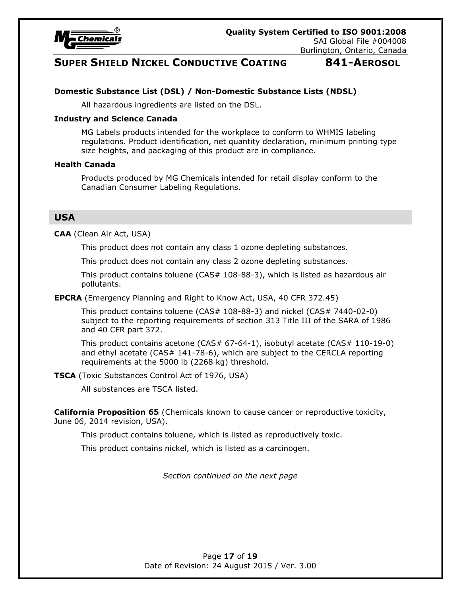

#### **Domestic Substance List (DSL) / Non-Domestic Substance Lists (NDSL)**

All hazardous ingredients are listed on the DSL.

#### **Industry and Science Canada**

MG Labels products intended for the workplace to conform to WHMIS labeling regulations. Product identification, net quantity declaration, minimum printing type size heights, and packaging of this product are in compliance.

#### **Health Canada**

Products produced by MG Chemicals intended for retail display conform to the Canadian Consumer Labeling Regulations.

#### **USA**

**CAA** (Clean Air Act, USA)

This product does not contain any class 1 ozone depleting substances.

This product does not contain any class 2 ozone depleting substances.

This product contains toluene (CAS# 108-88-3), which is listed as hazardous air pollutants.

**EPCRA** (Emergency Planning and Right to Know Act, USA, 40 CFR 372.45)

This product contains toluene (CAS# 108-88-3) and nickel (CAS# 7440-02-0) subject to the reporting requirements of section 313 Title III of the SARA of 1986 and 40 CFR part 372.

This product contains acetone (CAS# 67-64-1), isobutyl acetate (CAS# 110-19-0) and ethyl acetate (CAS# 141-78-6), which are subject to the CERCLA reporting requirements at the 5000 lb (2268 kg) threshold.

**TSCA** (Toxic Substances Control Act of 1976, USA)

All substances are TSCA listed.

**California Proposition 65** (Chemicals known to cause cancer or reproductive toxicity, June 06, 2014 revision, USA).

This product contains toluene, which is listed as reproductively toxic.

This product contains nickel, which is listed as a carcinogen.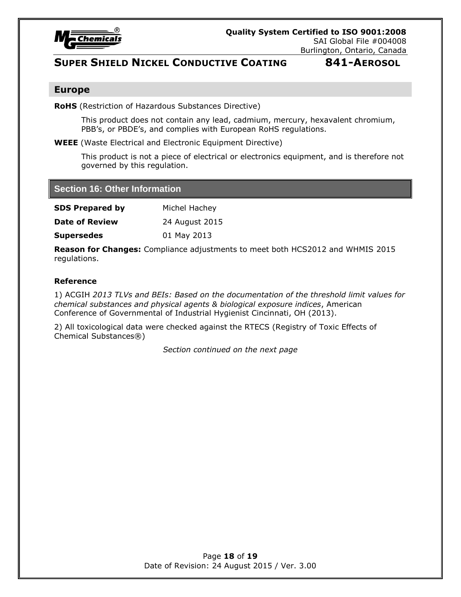

#### **Europe**

**RoHS** (Restriction of Hazardous Substances Directive)

This product does not contain any lead, cadmium, mercury, hexavalent chromium, PBB's, or PBDE's, and complies with European RoHS regulations.

**WEEE** (Waste Electrical and Electronic Equipment Directive)

This product is not a piece of electrical or electronics equipment, and is therefore not governed by this regulation.

#### **Section 16: Other Information**

| <b>SDS Prepared by</b> | Michel Hachey  |
|------------------------|----------------|
| <b>Date of Review</b>  | 24 August 2015 |
|                        | .              |

**Supersedes** 01 May 2013

**Reason for Changes:** Compliance adjustments to meet both HCS2012 and WHMIS 2015 regulations.

#### **Reference**

1) ACGIH *2013 TLVs and BEIs: Based on the documentation of the threshold limit values for chemical substances and physical agents & biological exposure indices*, American Conference of Governmental of Industrial Hygienist Cincinnati, OH (2013).

2) All toxicological data were checked against the RTECS (Registry of Toxic Effects of Chemical Substances®)